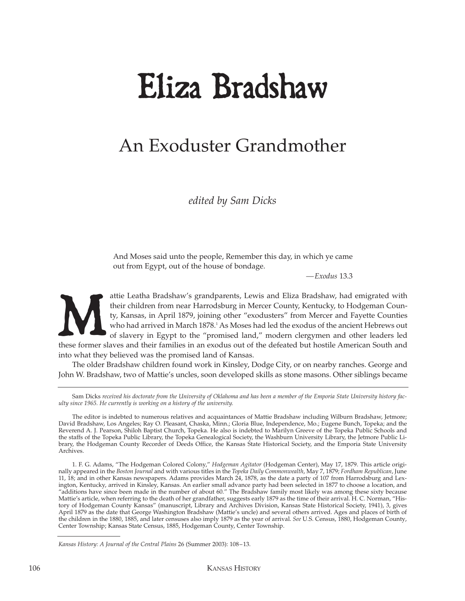# Eliza Bradshaw

### An Exoduster Grandmother

*edited by Sam Dicks*

And Moses said unto the people, Remember this day, in which ye came out from Egypt, out of the house of bondage.

*—Exodus* 13.3

attie Leatha Bradshaw's grandparents, Lewis and Eliza Bradshaw, had emigrated with their children from near Harrodsburg in Mercer County, Kentucky, to Hodgeman County, Kansas, in April 1879, joining other "exodusters" from Mercer and Fayette Counties who had arrived in March 1878.<sup>1</sup> As Moses had led the exodus of the ancient Hebrews out of slavery in Egypt to the "promised land," modern clergymen and other leaders led attie Leatha Bradshaw's grandparents, Lewis and Eliza Bradshaw, had emigrated with<br>their children from near Harrodsburg in Mercer County, Kentucky, to Hodgeman Coun-<br>ty, Kansas, in April 1879, joining other "exodusters" fr

into what they believed was the promised land of Kansas.

The older Bradshaw children found work in Kinsley, Dodge City, or on nearby ranches. George and John W. Bradshaw, two of Mattie's uncles, soon developed skills as stone masons. Other siblings became

Sam Dicks *received his doctorate from the University of Oklahoma and has been a member of the Emporia State University history faculty since 1965. He currently is working on a history of the university.* 

The editor is indebted to numerous relatives and acquaintances of Mattie Bradshaw including Wilburn Bradshaw, Jetmore; David Bradshaw, Los Angeles; Ray O. Pleasant, Chaska, Minn.; Gloria Blue, Independence, Mo.; Eugene Bunch, Topeka; and the Reverend A. J. Pearson, Shiloh Baptist Church, Topeka. He also is indebted to Marilyn Greeve of the Topeka Public Schools and the staffs of the Topeka Public Library, the Topeka Genealogical Society, the Washburn University Library, the Jetmore Public Library, the Hodgeman County Recorder of Deeds Office, the Kansas State Historical Society, and the Emporia State University Archives.

1. F. G. Adams, "The Hodgeman Colored Colony," *Hodgeman Agitator* (Hodgeman Center), May 17, 1879. This article originally appeared in the *Boston Journal* and with various titles in the *Topeka Daily Commonwealth*, May 7, 1879; *Fordham Republican*, June 11, 18; and in other Kansas newspapers. Adams provides March 24, 1878, as the date a party of 107 from Harrodsburg and Lexington, Kentucky, arrived in Kinsley, Kansas. An earlier small advance party had been selected in 1877 to choose a location, and "additions have since been made in the number of about 60." The Bradshaw family most likely was among these sixty because Mattie's article, when referring to the death of her grandfather, suggests early 1879 as the time of their arrival. H. C. Norman, "History of Hodgeman County Kansas" (manuscript, Library and Archives Division, Kansas State Historical Society, 1941), 3, gives April 1879 as the date that George Washington Bradshaw (Mattie's uncle) and several others arrived. Ages and places of birth of the children in the 1880, 1885, and later censuses also imply 1879 as the year of arrival. *See* U.S. Census, 1880, Hodgeman County, Center Township; Kansas State Census, 1885, Hodgeman County, Center Township.

*Kansas History: A Journal of the Central Plains* 26 (Summer 2003): 108–13.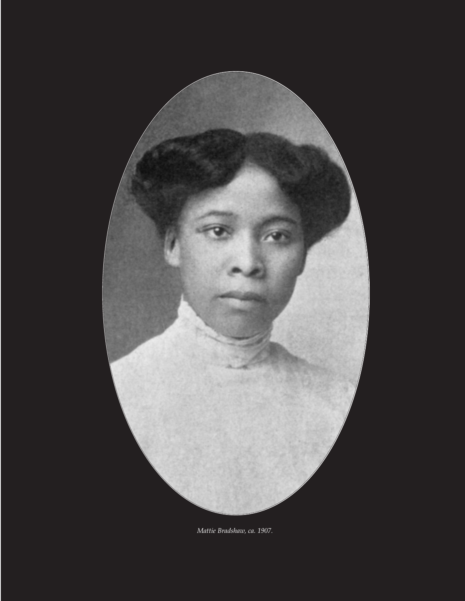

*Mattie Bradshaw, ca. 1907.*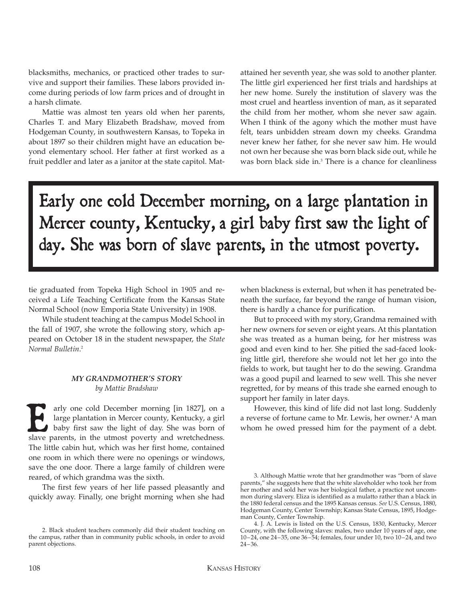blacksmiths, mechanics, or practiced other trades to survive and support their families. These labors provided income during periods of low farm prices and of drought in a harsh climate.

Mattie was almost ten years old when her parents, Charles T. and Mary Elizabeth Bradshaw, moved from Hodgeman County, in southwestern Kansas, to Topeka in about 1897 so their children might have an education beyond elementary school. Her father at first worked as a fruit peddler and later as a janitor at the state capitol. Matattained her seventh year, she was sold to another planter. The little girl experienced her first trials and hardships at her new home. Surely the institution of slavery was the most cruel and heartless invention of man, as it separated the child from her mother, whom she never saw again. When I think of the agony which the mother must have felt, tears unbidden stream down my cheeks. Grandma never knew her father, for she never saw him. He would not own her because she was born black side out, while he was born black side in.<sup>3</sup> There is a chance for cleanliness

## Early one cold December morning, on a large plantation in Mercer county, Kentucky, a girl baby first saw the light of day. She was born of slave parents, in the utmost poverty.

tie graduated from Topeka High School in 1905 and received a Life Teaching Certificate from the Kansas State Normal School (now Emporia State University) in 1908.

While student teaching at the campus Model School in the fall of 1907, she wrote the following story, which appeared on October 18 in the student newspaper, the *State Normal Bulletin*. 2

#### *MY GRANDMOTHER'S STORY by Mattie Bradshaw*

arly one cold December morning [in 1827], on a large plantation in Mercer county, Kentucky, a girl baby first saw the light of day. She was born of arly one cold December morning [in 1827], on a large plantation in Mercer county, Kentucky, a girl baby first saw the light of day. She was born of slave parents, in the utmost poverty and wretchedness. The little cabin hut, which was her first home, contained one room in which there were no openings or windows, save the one door. There a large family of children were reared, of which grandma was the sixth.

The first few years of her life passed pleasantly and quickly away. Finally, one bright morning when she had

when blackness is external, but when it has penetrated beneath the surface, far beyond the range of human vision, there is hardly a chance for purification.

But to proceed with my story, Grandma remained with her new owners for seven or eight years. At this plantation she was treated as a human being, for her mistress was good and even kind to her. She pitied the sad-faced looking little girl, therefore she would not let her go into the fields to work, but taught her to do the sewing. Grandma was a good pupil and learned to sew well. This she never regretted, for by means of this trade she earned enough to support her family in later days.

However, this kind of life did not last long. Suddenly a reverse of fortune came to Mr. Lewis, her owner.<sup>4</sup> A man whom he owed pressed him for the payment of a debt.

<sup>2.</sup> Black student teachers commonly did their student teaching on the campus, rather than in community public schools, in order to avoid parent objections.

<sup>3.</sup> Although Mattie wrote that her grandmother was "born of slave parents," she suggests here that the white slaveholder who took her from her mother and sold her was her biological father, a practice not uncommon during slavery. Eliza is identified as a mulatto rather than a black in the 1880 federal census and the 1895 Kansas census. *See* U.S. Census, 1880, Hodgeman County, Center Township; Kansas State Census, 1895, Hodgeman County, Center Township.

<sup>4.</sup> J. A. Lewis is listed on the U.S. Census, 1830, Kentucky, Mercer County, with the following slaves: males, two under 10 years of age, one 10–24, one 24–35, one 36–54; females, four under 10, two 10–24, and two 24–36.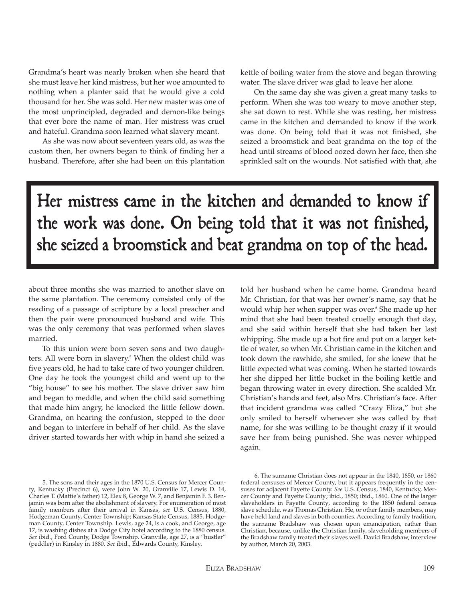Grandma's heart was nearly broken when she heard that she must leave her kind mistress, but her woe amounted to nothing when a planter said that he would give a cold thousand for her. She was sold. Her new master was one of the most unprincipled, degraded and demon-like beings that ever bore the name of man. Her mistress was cruel and hateful. Grandma soon learned what slavery meant.

As she was now about seventeen years old, as was the custom then, her owners began to think of finding her a husband. Therefore, after she had been on this plantation kettle of boiling water from the stove and began throwing water. The slave driver was glad to leave her alone.

On the same day she was given a great many tasks to perform. When she was too weary to move another step, she sat down to rest. While she was resting, her mistress came in the kitchen and demanded to know if the work was done. On being told that it was not finished, she seized a broomstick and beat grandma on the top of the head until streams of blood oozed down her face, then she sprinkled salt on the wounds. Not satisfied with that, she

### Her mistress came in the kitchen and demanded to know if the work was done. On being told that it was not finished, she seized a broomstick and beat grandma on top of the head.

about three months she was married to another slave on the same plantation. The ceremony consisted only of the reading of a passage of scripture by a local preacher and then the pair were pronounced husband and wife. This was the only ceremony that was performed when slaves married.

To this union were born seven sons and two daughters. All were born in slavery.<sup>5</sup> When the oldest child was five years old, he had to take care of two younger children. One day he took the youngest child and went up to the "big house" to see his mother. The slave driver saw him and began to meddle, and when the child said something that made him angry, he knocked the little fellow down. Grandma, on hearing the confusion, stepped to the door and began to interfere in behalf of her child. As the slave driver started towards her with whip in hand she seized a

told her husband when he came home. Grandma heard Mr. Christian, for that was her owner's name, say that he would whip her when supper was over.<sup>6</sup> She made up her mind that she had been treated cruelly enough that day, and she said within herself that she had taken her last whipping. She made up a hot fire and put on a larger kettle of water, so when Mr. Christian came in the kitchen and took down the rawhide, she smiled, for she knew that he little expected what was coming. When he started towards her she dipped her little bucket in the boiling kettle and began throwing water in every direction. She scalded Mr. Christian's hands and feet, also Mrs. Christian's face. After that incident grandma was called "Crazy Eliza," but she only smiled to herself whenever she was called by that name, for she was willing to be thought crazy if it would save her from being punished. She was never whipped again.

6. The surname Christian does not appear in the 1840, 1850, or 1860 federal censuses of Mercer County, but it appears frequently in the censuses for adjacent Fayette County. *See* U.S. Census, 1840, Kentucky, Mercer County and Fayette County; ibid., 1850; ibid., 1860. One of the larger slaveholders in Fayette County, according to the 1850 federal census slave schedule, was Thomas Christian. He, or other family members, may have held land and slaves in both counties. According to family tradition, the surname Bradshaw was chosen upon emancipation, rather than Christian, because, unlike the Christian family, slaveholding members of the Bradshaw family treated their slaves well. David Bradshaw, interview by author, March 20, 2003.

<sup>5.</sup> The sons and their ages in the 1870 U.S. Census for Mercer County, Kentucky (Precinct 6), were John W. 20, Granville 17, Lewis D. 14, Charles T. (Mattie's father) 12, Elex 8, George W. 7, and Benjamin F. 3. Benjamin was born after the abolishment of slavery. For enumeration of most family members after their arrival in Kansas, *see* U.S. Census, 1880, Hodgeman County, Center Township; Kansas State Census, 1885, Hodgeman County, Center Township. Lewis, age 24, is a cook, and George, age 17, is washing dishes at a Dodge City hotel according to the 1880 census. *See* ibid., Ford County, Dodge Township. Granville, age 27, is a "hustler" (peddler) in Kinsley in 1880. *See* ibid., Edwards County, Kinsley.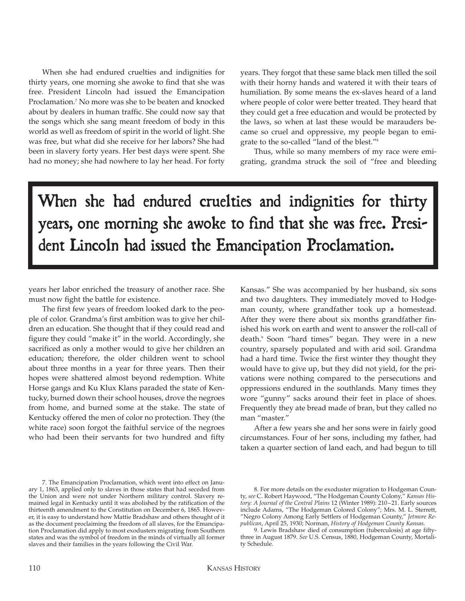When she had endured cruelties and indignities for thirty years, one morning she awoke to find that she was free. President Lincoln had issued the Emancipation Proclamation.<sup>7</sup> No more was she to be beaten and knocked about by dealers in human traffic. She could now say that the songs which she sang meant freedom of body in this world as well as freedom of spirit in the world of light. She was free, but what did she receive for her labors? She had been in slavery forty years. Her best days were spent. She had no money; she had nowhere to lay her head. For forty years. They forgot that these same black men tilled the soil with their horny hands and watered it with their tears of humiliation. By some means the ex-slaves heard of a land where people of color were better treated. They heard that they could get a free education and would be protected by the laws, so when at last these would be marauders became so cruel and oppressive, my people began to emigrate to the so-called "land of the blest."8

Thus, while so many members of my race were emigrating, grandma struck the soil of "free and bleeding

### When she had endured cruelties and indignities for thirty years, one morning she awoke to find that she was free. President Lincoln had issued the Emancipation Proclamation.

years her labor enriched the treasury of another race. She must now fight the battle for existence.

The first few years of freedom looked dark to the people of color. Grandma's first ambition was to give her children an education. She thought that if they could read and figure they could "make it" in the world. Accordingly, she sacrificed as only a mother would to give her children an education; therefore, the older children went to school about three months in a year for three years. Then their hopes were shattered almost beyond redemption. White Horse gangs and Ku Klux Klans paraded the state of Kentucky, burned down their school houses, drove the negroes from home, and burned some at the stake. The state of Kentucky offered the men of color no protection. They (the white race) soon forgot the faithful service of the negroes who had been their servants for two hundred and fifty

After a few years she and her sons were in fairly good circumstances. Four of her sons, including my father, had taken a quarter section of land each, and had begun to till

Kansas." She was accompanied by her husband, six sons and two daughters. They immediately moved to Hodgeman county, where grandfather took up a homestead. After they were there about six months grandfather finished his work on earth and went to answer the roll-call of death.9 Soon "hard times" began. They were in a new country, sparsely populated and with arid soil. Grandma had a hard time. Twice the first winter they thought they would have to give up, but they did not yield, for the privations were nothing compared to the persecutions and oppressions endured in the southlands. Many times they wore "gunny" sacks around their feet in place of shoes. Frequently they ate bread made of bran, but they called no man "master."

<sup>7.</sup> The Emancipation Proclamation, which went into effect on January 1, 1863, applied only to slaves in those states that had seceded from the Union and were not under Northern military control. Slavery remained legal in Kentucky until it was abolished by the ratification of the thirteenth amendment to the Constitution on December 6, 1865. However, it is easy to understand how Mattie Bradshaw and others thought of it as the document proclaiming the freedom of all slaves, for the Emancipation Proclamation did apply to most exodusters migrating from Southern states and was the symbol of freedom in the minds of virtually all former slaves and their families in the years following the Civil War.

<sup>8.</sup> For more details on the exoduster migration to Hodgeman County, *see* C. Robert Haywood, "The Hodgeman County Colony," *Kansas History: A Journal of the Central Plains* 12 (Winter 1989): 210–21. Early sources include Adams, "The Hodgeman Colored Colony"; Mrs. M. L. Sterrett, "Negro Colony Among Early Settlers of Hodgeman County," *Jetmore Republican*, April 25, 1930; Norman, *History of Hodgeman County Kansas*.

<sup>9.</sup> Lewis Bradshaw died of consumption (tuberculosis) at age fiftythree in August 1879. *See* U.S. Census, 1880, Hodgeman County, Mortality Schedule.